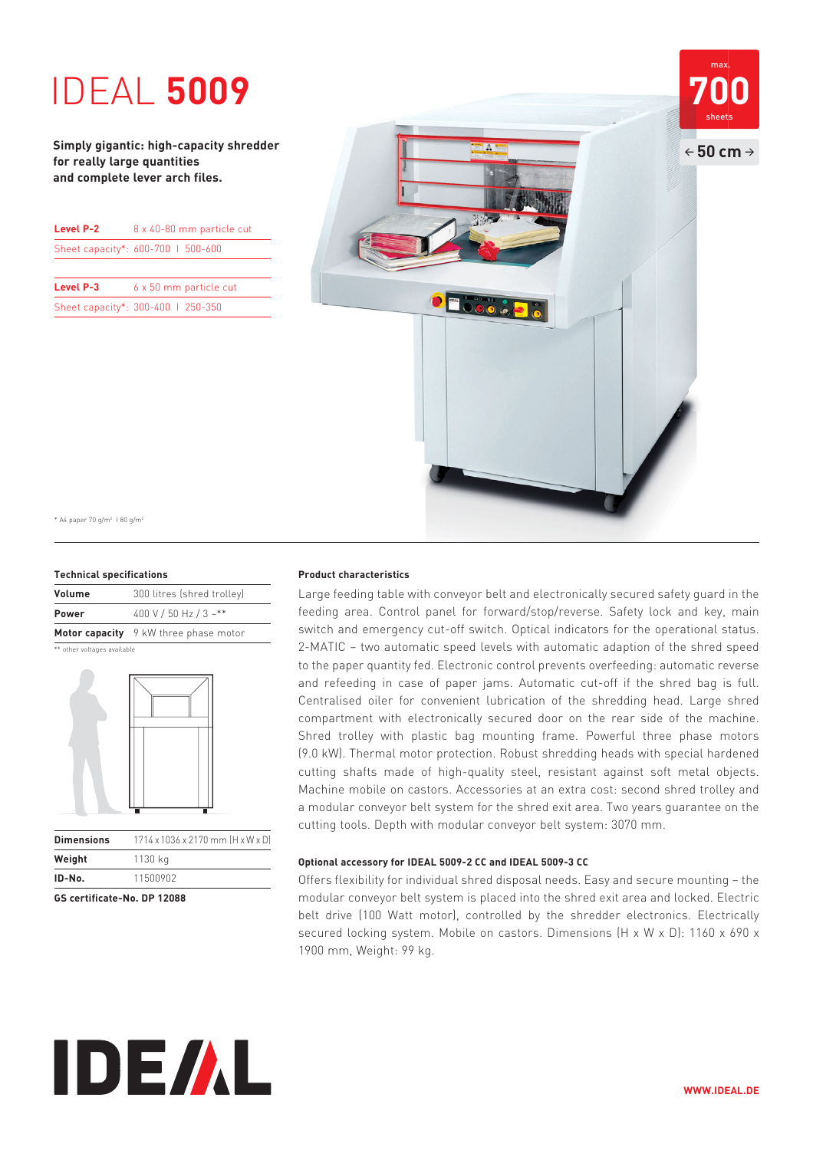# **1DEAL 5009**

**Simply gigantic: high-capacity shredder for really large quantities and complete lever arch files.**

| Level P-2 | 8 x 40-80 mm particle cut          |
|-----------|------------------------------------|
|           | Sheet capacity*: 600-700   500-600 |
|           |                                    |
|           |                                    |

**Level P-3** 6 x 50 mm particle cut Sheet capacity\*: 300-400 I 250-350



\* A4 paper 70 g/m2 I 80 g/m2

#### **Technical specifications**

| Volume       | 300 litres (shred trolley)            |
|--------------|---------------------------------------|
| <b>Power</b> | 400 V / 50 Hz / 3 ~**                 |
|              | Motor capacity 9 kW three phase motor |

\*\* other voltages available



| ID-No.            | 11500902                          |
|-------------------|-----------------------------------|
| Weight            | 1130 kg                           |
| <b>Dimensions</b> | 1714 x 1036 x 2170 mm [H x W x D] |
|                   |                                   |

**GS certificate-No. DP 12088**

#### **Product characteristics**

Large feeding table with conveyor belt and electronically secured safety guard in the feeding area. Control panel for forward/stop/reverse. Safety lock and key, main switch and emergency cut-off switch. Optical indicators for the operational status. 2-MATIC – two automatic speed levels with automatic adaption of the shred speed to the paper quantity fed. Electronic control prevents overfeeding: automatic reverse and refeeding in case of paper jams. Automatic cut-off if the shred bag is full. Centralised oiler for convenient lubrication of the shredding head. Large shred compartment with electronically secured door on the rear side of the machine. Shred trolley with plastic bag mounting frame. Powerful three phase motors (9.0 kW). Thermal motor protection. Robust shredding heads with special hardened cutting shafts made of high-quality steel, resistant against soft metal objects. Machine mobile on castors. Accessories at an extra cost: second shred trolley and a modular conveyor belt system for the shred exit area. Two years guarantee on the cutting tools. Depth with modular conveyor belt system: 3070 mm.

#### **Optional accessory for IDEAL 5009-2 CC and IDEAL 5009-3 CC**

Offers flexibility for individual shred disposal needs. Easy and secure mounting – the modular conveyor belt system is placed into the shred exit area and locked. Electric belt drive (100 Watt motor), controlled by the shredder electronics. Electrically secured locking system. Mobile on castors. Dimensions (H x W x D): 1160 x 690 x 1900 mm, Weight: 99 kg.

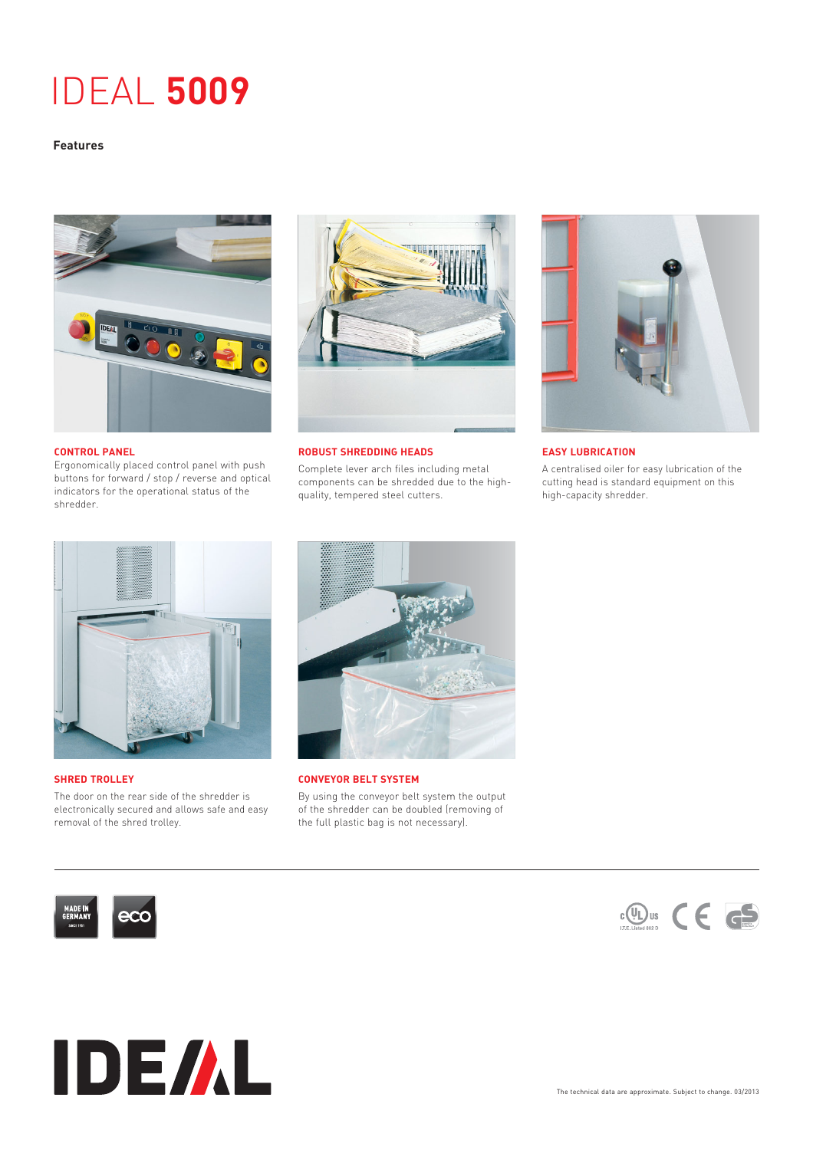## IDEAL **5009**

#### **Features**



#### **CONTROL PANEL**

Ergonomically placed control panel with push buttons for forward / stop / reverse and optical indicators for the operational status of the shredder.



#### **ROBUST SHREDDING HEADS**

Complete lever arch files including metal components can be shredded due to the highquality, tempered steel cutters.



#### **EASY LUBRICATION**

A centralised oiler for easy lubrication of the cutting head is standard equipment on this high-capacity shredder.



#### **SHRED TROLLEY**

The door on the rear side of the shredder is electronically secured and allows safe and easy removal of the shred trolley.



**CONVEYOR BELT SYSTEM**

By using the conveyor belt system the output of the shredder can be doubled (removing of the full plastic bag is not necessary).